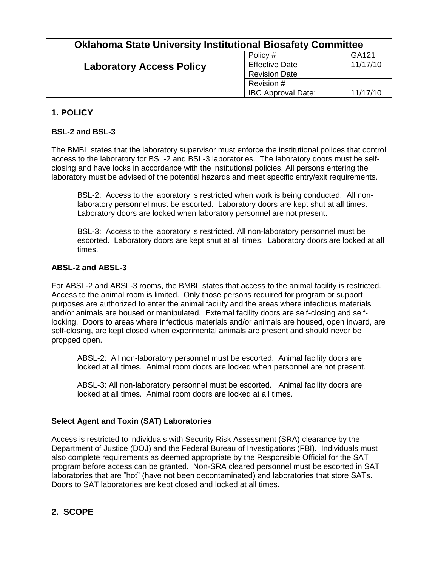| GA121<br>Policy #                                                    |  |
|----------------------------------------------------------------------|--|
|                                                                      |  |
| 11/17/10<br><b>Effective Date</b><br><b>Laboratory Access Policy</b> |  |
| <b>Revision Date</b>                                                 |  |
| Revision #                                                           |  |
| <b>IBC Approval Date:</b><br>11/17/10                                |  |

# **1. POLICY**

### **BSL-2 and BSL-3**

The BMBL states that the laboratory supervisor must enforce the institutional polices that control access to the laboratory for BSL-2 and BSL-3 laboratories. The laboratory doors must be selfclosing and have locks in accordance with the institutional policies. All persons entering the laboratory must be advised of the potential hazards and meet specific entry/exit requirements.

BSL-2: Access to the laboratory is restricted when work is being conducted. All nonlaboratory personnel must be escorted. Laboratory doors are kept shut at all times. Laboratory doors are locked when laboratory personnel are not present.

BSL-3: Access to the laboratory is restricted. All non-laboratory personnel must be escorted. Laboratory doors are kept shut at all times. Laboratory doors are locked at all times.

#### **ABSL-2 and ABSL-3**

For ABSL-2 and ABSL-3 rooms, the BMBL states that access to the animal facility is restricted. Access to the animal room is limited. Only those persons required for program or support purposes are authorized to enter the animal facility and the areas where infectious materials and/or animals are housed or manipulated. External facility doors are self-closing and selflocking. Doors to areas where infectious materials and/or animals are housed, open inward, are self-closing, are kept closed when experimental animals are present and should never be propped open.

ABSL-2: All non-laboratory personnel must be escorted. Animal facility doors are locked at all times. Animal room doors are locked when personnel are not present.

ABSL-3: All non-laboratory personnel must be escorted. Animal facility doors are locked at all times. Animal room doors are locked at all times.

#### **Select Agent and Toxin (SAT) Laboratories**

Access is restricted to individuals with Security Risk Assessment (SRA) clearance by the Department of Justice (DOJ) and the Federal Bureau of Investigations (FBI). Individuals must also complete requirements as deemed appropriate by the Responsible Official for the SAT program before access can be granted. Non-SRA cleared personnel must be escorted in SAT laboratories that are "hot" (have not been decontaminated) and laboratories that store SATs. Doors to SAT laboratories are kept closed and locked at all times.

# **2. SCOPE**